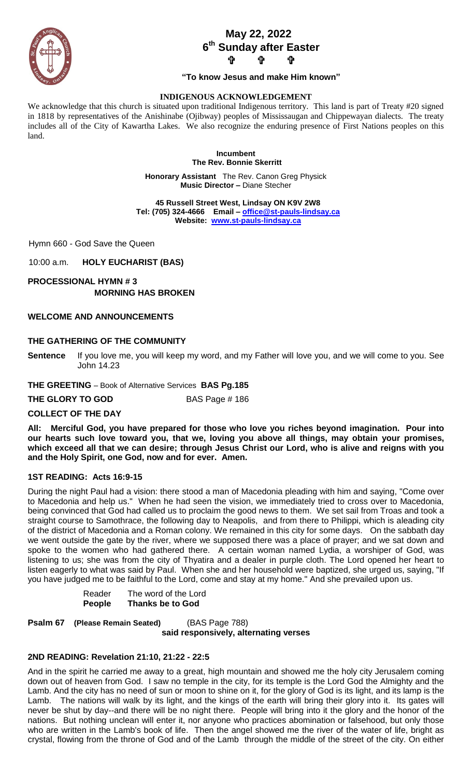

## **May 22, 2022 6 th Sunday after Easter ታ ቀ**

## **"To know Jesus and make Him known"**

#### **INDIGENOUS ACKNOWLEDGEMENT**

We acknowledge that this church is situated upon traditional Indigenous territory. This land is part of Treaty #20 signed in 1818 by representatives of the Anishinabe (Ojibway) peoples of Mississaugan and Chippewayan dialects. The treaty includes all of the City of Kawartha Lakes. We also recognize the enduring presence of First Nations peoples on this land.

#### **Incumbent The Rev. Bonnie Skerritt**

**Honorary Assistant** The Rev. Canon Greg Physick **Music Director –** Diane Stecher

 **45 Russell Street West, Lindsay ON K9V 2W8 Tel: (705) 324-4666 Email – [office@st-pauls-lindsay.ca](mailto:office@st-pauls-lindsay.ca) Website: [www.st-pauls-lindsay.ca](http://www.st-pauls-lindsay.ca/)**

Hymn 660 - God Save the Queen

10:00 a.m. **HOLY EUCHARIST (BAS)** 

**PROCESSIONAL HYMN # 3 MORNING HAS BROKEN**

#### **WELCOME AND ANNOUNCEMENTS**

#### **THE GATHERING OF THE COMMUNITY**

**Sentence** If you love me, you will keep my word, and my Father will love you, and we will come to you. See John 14.23

**THE GREETING** – Book of Alternative Services **BAS Pg.185**

#### **THE GLORY TO GOD** BAS Page # 186

#### **COLLECT OF THE DAY**

**All: Merciful God, you have prepared for those who love you riches beyond imagination. Pour into our hearts such love toward you, that we, loving you above all things, may obtain your promises, which exceed all that we can desire; through Jesus Christ our Lord, who is alive and reigns with you and the Holy Spirit, one God, now and for ever. Amen.**

#### **1ST READING: Acts 16:9-15**

During the night Paul had a vision: there stood a man of Macedonia pleading with him and saying, "Come over to Macedonia and help us." When he had seen the vision, we immediately tried to cross over to Macedonia, being convinced that God had called us to proclaim the good news to them. We set sail from Troas and took a straight course to Samothrace, the following day to Neapolis, and from there to Philippi, which is aleading city of the district of Macedonia and a Roman colony. We remained in this city for some days. On the sabbath day we went outside the gate by the river, where we supposed there was a place of prayer; and we sat down and spoke to the women who had gathered there. A certain woman named Lydia, a worshiper of God, was listening to us; she was from the city of Thyatira and a dealer in purple cloth. The Lord opened her heart to listen eagerly to what was said by Paul. When she and her household were baptized, she urged us, saying, "If you have judged me to be faithful to the Lord, come and stay at my home." And she prevailed upon us.

| Reader        | The word of the Lord    |
|---------------|-------------------------|
| <b>People</b> | <b>Thanks be to God</b> |

**Psalm 67 (Please Remain Seated)** (BAS Page 788) **said responsively, alternating verses**

#### **2ND READING: Revelation 21:10, 21:22 - 22:5**

And in the spirit he carried me away to a great, high mountain and showed me the holy city Jerusalem coming down out of heaven from God. I saw no temple in the city, for its temple is the Lord God the Almighty and the Lamb. And the city has no need of sun or moon to shine on it, for the glory of God is its light, and its lamp is the Lamb. The nations will walk by its light, and the kings of the earth will bring their glory into it. Its gates will never be shut by day--and there will be no night there. People will bring into it the glory and the honor of the nations. But nothing unclean will enter it, nor anyone who practices abomination or falsehood, but only those who are written in the Lamb's book of life. Then the angel showed me the river of the water of life, bright as crystal, flowing from the throne of God and of the Lamb through the middle of the street of the city. On either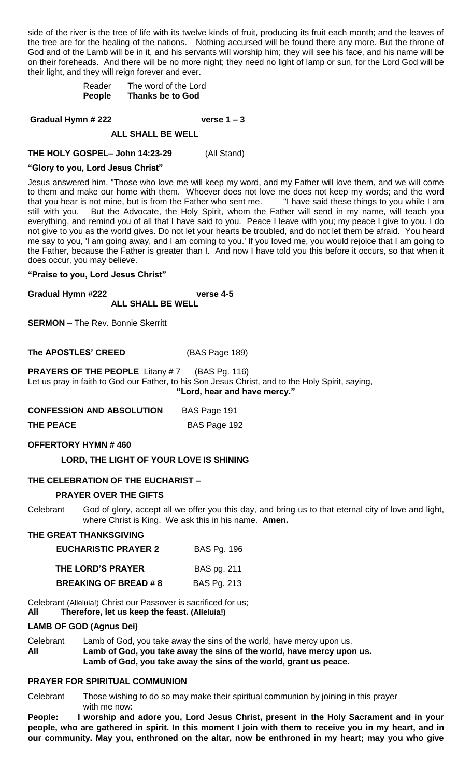side of the river is the tree of life with its twelve kinds of fruit, producing its fruit each month; and the leaves of the tree are for the healing of the nations. Nothing accursed will be found there any more. But the throne of God and of the Lamb will be in it, and his servants will worship him; they will see his face, and his name will be on their foreheads. And there will be no more night; they need no light of lamp or sun, for the Lord God will be their light, and they will reign forever and ever.

> Reader The word of the Lord **People Thanks be to God**

**Gradual Hymn # 222 verse 1 – 3**

**ALL SHALL BE WELL**

**THE HOLY GOSPEL– John 14:23-29** (All Stand)

#### **"Glory to you, Lord Jesus Christ"**

Jesus answered him, "Those who love me will keep my word, and my Father will love them, and we will come to them and make our home with them. Whoever does not love me does not keep my words; and the word that you hear is not mine, but is from the Father who sent me. "I have said these things to you while I am still with you. But the Advocate, the Holy Spirit, whom the Father will send in my name, will teach you everything, and remind you of all that I have said to you. Peace I leave with you; my peace I give to you. I do not give to you as the world gives. Do not let your hearts be troubled, and do not let them be afraid. You heard me say to you, 'I am going away, and I am coming to you.' If you loved me, you would rejoice that I am going to the Father, because the Father is greater than I. And now I have told you this before it occurs, so that when it does occur, you may believe.

**"Praise to you, Lord Jesus Christ"**

**Gradual Hymn #222 verse 4-5**

**ALL SHALL BE WELL**

**SERMON** – The Rev. Bonnie Skerritt

**The APOSTLES' CREED** (BAS Page 189)

**PRAYERS OF THE PEOPLE** Litany #7 (BAS Pg. 116) Let us pray in faith to God our Father, to his Son Jesus Christ, and to the Holy Spirit, saying, **"Lord, hear and have mercy."**

| <b>CONFESSION AND ABSOLUTION</b> | BAS Page 191 |
|----------------------------------|--------------|
| <b>THE PEACE</b>                 | BAS Page 192 |

#### **OFFERTORY HYMN # 460**

**LORD, THE LIGHT OF YOUR LOVE IS SHINING** 

### **THE CELEBRATION OF THE EUCHARIST –**

#### **PRAYER OVER THE GIFTS**

Celebrant God of glory, accept all we offer you this day, and bring us to that eternal city of love and light, where Christ is King. We ask this in his name. **Amen.**

#### **THE GREAT THANKSGIVING**

| <b>EUCHARISTIC PRAYER 2</b> | <b>BAS Pg. 196</b> |
|-----------------------------|--------------------|
| THE LORD'S PRAYER           | <b>BAS pg. 211</b> |
| <b>BREAKING OF BREAD #8</b> | <b>BAS Pg. 213</b> |

Celebrant (Alleluia!) Christ our Passover is sacrificed for us; **All Therefore, let us keep the feast. (Alleluia!)**

# **LAMB OF GOD (Agnus Dei)**

Celebrant Lamb of God, you take away the sins of the world, have mercy upon us. **All Lamb of God, you take away the sins of the world, have mercy upon us. Lamb of God, you take away the sins of the world, grant us peace.** 

#### **PRAYER FOR SPIRITUAL COMMUNION**

Celebrant Those wishing to do so may make their spiritual communion by joining in this prayer with me now:

**People: I worship and adore you, Lord Jesus Christ, present in the Holy Sacrament and in your people, who are gathered in spirit. In this moment I join with them to receive you in my heart, and in our community. May you, enthroned on the altar, now be enthroned in my heart; may you who give**